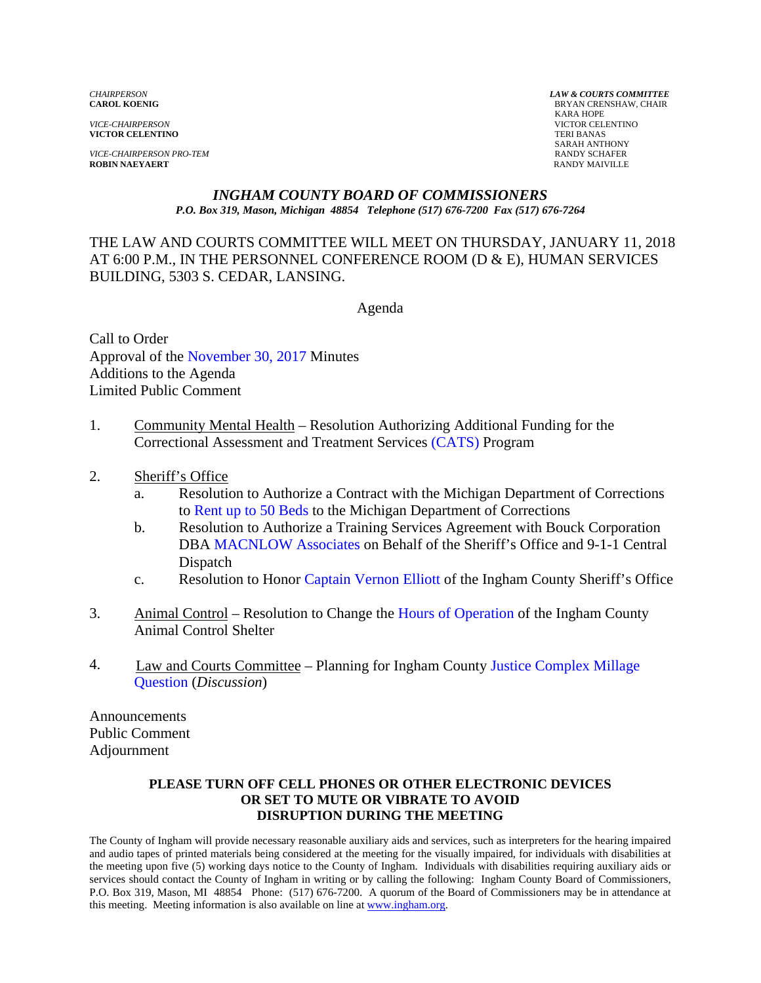*VICE-CHAIRPERSON* VICTOR CELENTINO **VICTOR CELENTINO** 

*VICE-CHAIRPERSON PRO-TEM* **RANDY SCHAFER**<br> **ROBIN NAEYAERT ROBIN RANDY MAIVILLE ROBIN NAEYAERT** 

*CHAIRPERSON LAW & COURTS COMMITTEE* **BRYAN CRENSHAW, CHAIR**  KARA HOPE SARAH ANTHONY

#### *INGHAM COUNTY BOARD OF COMMISSIONERS P.O. Box 319, Mason, Michigan 48854 Telephone (517) 676-7200 Fax (517) 676-7264*

THE LAW AND COURTS COMMITTEE WILL MEET ON THURSDAY, JANUARY 11, 2018 AT 6:00 P.M., IN THE PERSONNEL CONFERENCE ROOM (D & E), HUMAN SERVICES BUILDING, 5303 S. CEDAR, LANSING.

Agenda

Call to Order Approval of t[he November 30, 2017 Minutes](#page-1-0)  Additions to the Agenda Limited Public Comment

- 1. Community Mental Health Resolution Authorizing Additional Funding for the Correctional Assessment and Treatment Servi[ces \(CATS\) Program](#page-11-0)
- 2. Sheriff's Office
	- a. Resolution to Authorize a Contract with the Michigan Department of Corrections t[o Rent up to 50 Beds to the M](#page-15-0)ichigan Department of Corrections
	- b. Resolution to Authorize a Training Services Agreement with Bouck Corporation DB[A MACNLOW Associates on Beh](#page-17-0)alf of the Sheriff's Office and 9-1-1 Central Dispatch
	- c. Resolution to Hon[or Captain Vernon](#page-22-0) Elliott of the Ingham County Sheriff's Office
- 3. Animal Control Resolution to Change [the Hours of Operation of the Ing](#page-23-0)ham County Animal Control Shelter
- 4. [Law and Courts Committee Planning for Ingham County Justice Complex Millage](#page-25-0) Question (*Discussion*)

Announcements Public Comment Adjournment

#### **PLEASE TURN OFF CELL PHONES OR OTHER ELECTRONIC DEVICES OR SET TO MUTE OR VIBRATE TO AVOID DISRUPTION DURING THE MEETING**

The County of Ingham will provide necessary reasonable auxiliary aids and services, such as interpreters for the hearing impaired and audio tapes of printed materials being considered at the meeting for the visually impaired, for individuals with disabilities at the meeting upon five (5) working days notice to the County of Ingham. Individuals with disabilities requiring auxiliary aids or services should contact the County of Ingham in writing or by calling the following: Ingham County Board of Commissioners, P.O. Box 319, Mason, MI 48854 Phone: (517) 676-7200. A quorum of the Board of Commissioners may be in attendance at this meeting. Meeting information is also available on line at www.ingham.org.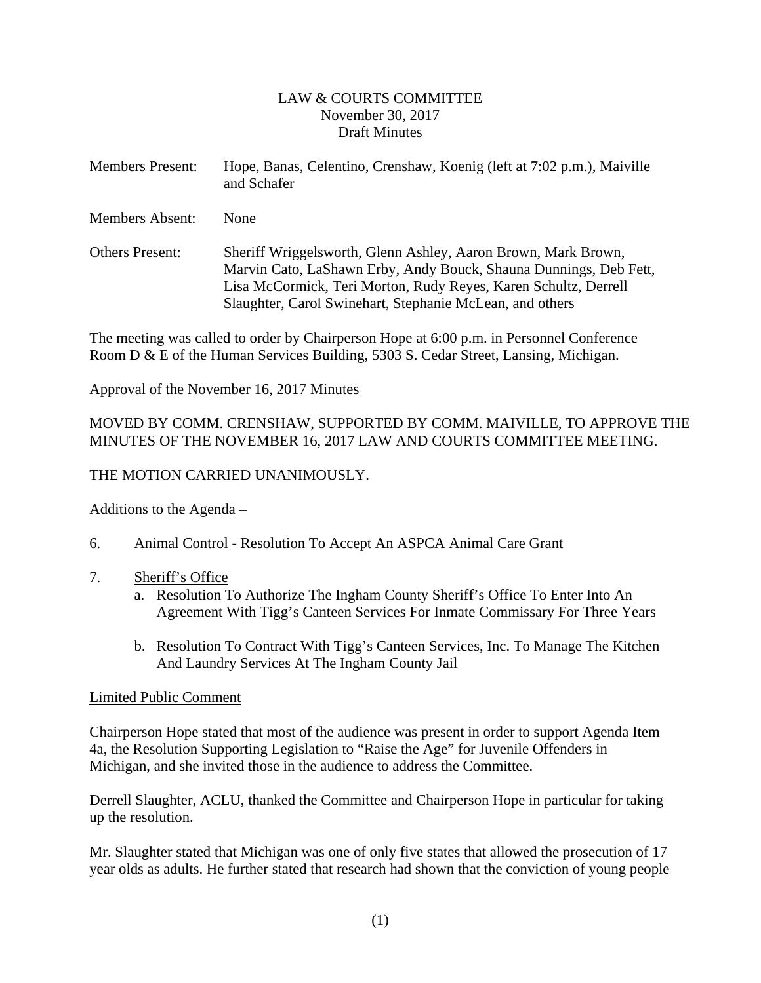#### LAW & COURTS COMMITTEE November 30, 2017 Draft Minutes

<span id="page-1-0"></span>

| <b>Members Present:</b> | Hope, Banas, Celentino, Crenshaw, Koenig (left at 7:02 p.m.), Maiville<br>and Schafer |
|-------------------------|---------------------------------------------------------------------------------------|
|                         |                                                                                       |

Members Absent: None

Others Present: Sheriff Wriggelsworth, Glenn Ashley, Aaron Brown, Mark Brown, Marvin Cato, LaShawn Erby, Andy Bouck, Shauna Dunnings, Deb Fett, Lisa McCormick, Teri Morton, Rudy Reyes, Karen Schultz, Derrell Slaughter, Carol Swinehart, Stephanie McLean, and others

The meeting was called to order by Chairperson Hope at 6:00 p.m. in Personnel Conference Room D & E of the Human Services Building, 5303 S. Cedar Street, Lansing, Michigan.

#### Approval of the November 16, 2017 Minutes

## MOVED BY COMM. CRENSHAW, SUPPORTED BY COMM. MAIVILLE, TO APPROVE THE MINUTES OF THE NOVEMBER 16, 2017 LAW AND COURTS COMMITTEE MEETING.

## THE MOTION CARRIED UNANIMOUSLY.

## Additions to the Agenda –

6. Animal Control - Resolution To Accept An ASPCA Animal Care Grant

#### 7. Sheriff's Office

- a. Resolution To Authorize The Ingham County Sheriff's Office To Enter Into An Agreement With Tigg's Canteen Services For Inmate Commissary For Three Years
- b. Resolution To Contract With Tigg's Canteen Services, Inc. To Manage The Kitchen And Laundry Services At The Ingham County Jail

#### Limited Public Comment

Chairperson Hope stated that most of the audience was present in order to support Agenda Item 4a, the Resolution Supporting Legislation to "Raise the Age" for Juvenile Offenders in Michigan, and she invited those in the audience to address the Committee.

Derrell Slaughter, ACLU, thanked the Committee and Chairperson Hope in particular for taking up the resolution.

Mr. Slaughter stated that Michigan was one of only five states that allowed the prosecution of 17 year olds as adults. He further stated that research had shown that the conviction of young people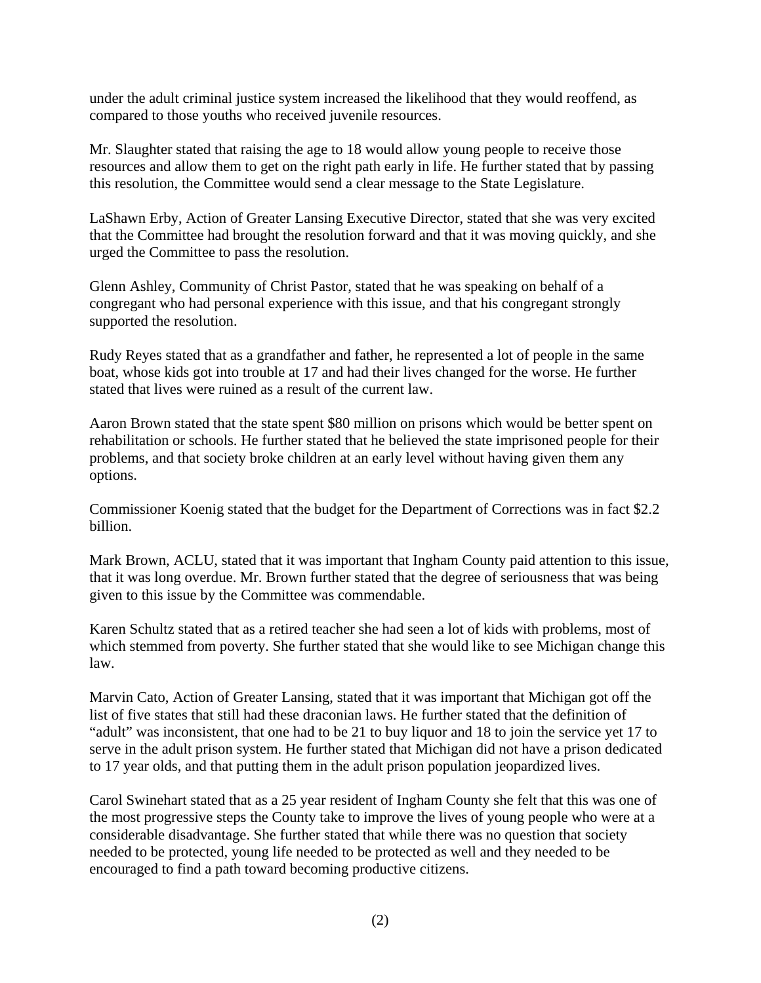under the adult criminal justice system increased the likelihood that they would reoffend, as compared to those youths who received juvenile resources.

Mr. Slaughter stated that raising the age to 18 would allow young people to receive those resources and allow them to get on the right path early in life. He further stated that by passing this resolution, the Committee would send a clear message to the State Legislature.

LaShawn Erby, Action of Greater Lansing Executive Director, stated that she was very excited that the Committee had brought the resolution forward and that it was moving quickly, and she urged the Committee to pass the resolution.

Glenn Ashley, Community of Christ Pastor, stated that he was speaking on behalf of a congregant who had personal experience with this issue, and that his congregant strongly supported the resolution.

Rudy Reyes stated that as a grandfather and father, he represented a lot of people in the same boat, whose kids got into trouble at 17 and had their lives changed for the worse. He further stated that lives were ruined as a result of the current law.

Aaron Brown stated that the state spent \$80 million on prisons which would be better spent on rehabilitation or schools. He further stated that he believed the state imprisoned people for their problems, and that society broke children at an early level without having given them any options.

Commissioner Koenig stated that the budget for the Department of Corrections was in fact \$2.2 billion.

Mark Brown, ACLU, stated that it was important that Ingham County paid attention to this issue, that it was long overdue. Mr. Brown further stated that the degree of seriousness that was being given to this issue by the Committee was commendable.

Karen Schultz stated that as a retired teacher she had seen a lot of kids with problems, most of which stemmed from poverty. She further stated that she would like to see Michigan change this law.

Marvin Cato, Action of Greater Lansing, stated that it was important that Michigan got off the list of five states that still had these draconian laws. He further stated that the definition of "adult" was inconsistent, that one had to be 21 to buy liquor and 18 to join the service yet 17 to serve in the adult prison system. He further stated that Michigan did not have a prison dedicated to 17 year olds, and that putting them in the adult prison population jeopardized lives.

Carol Swinehart stated that as a 25 year resident of Ingham County she felt that this was one of the most progressive steps the County take to improve the lives of young people who were at a considerable disadvantage. She further stated that while there was no question that society needed to be protected, young life needed to be protected as well and they needed to be encouraged to find a path toward becoming productive citizens.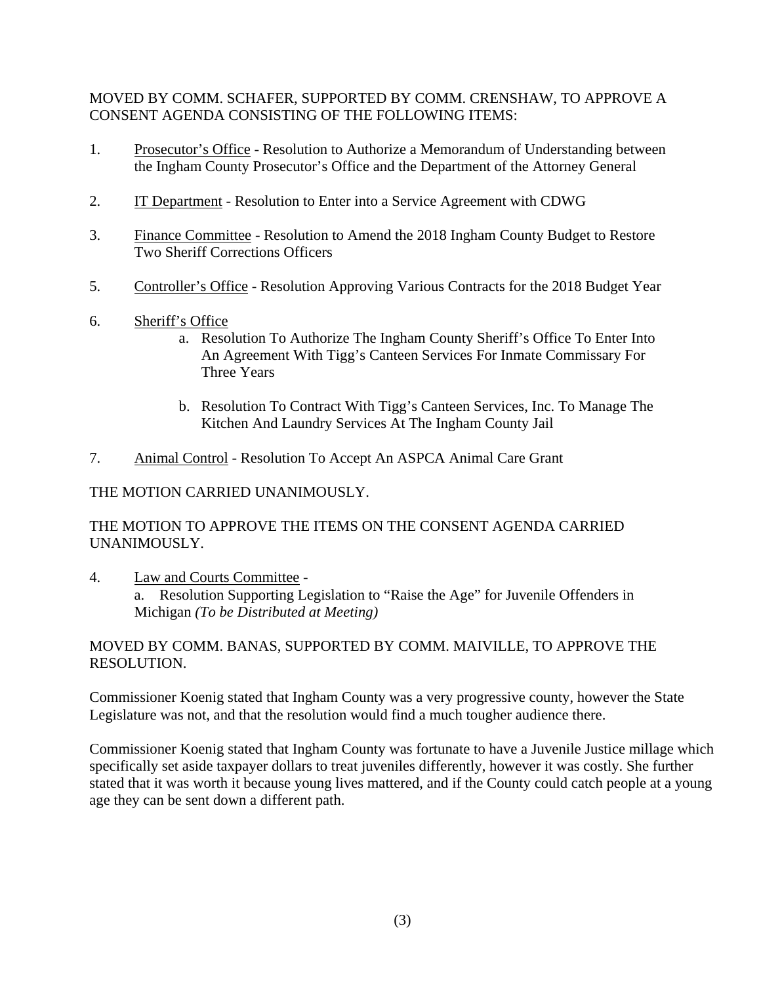## MOVED BY COMM. SCHAFER, SUPPORTED BY COMM. CRENSHAW, TO APPROVE A CONSENT AGENDA CONSISTING OF THE FOLLOWING ITEMS:

- 1. Prosecutor's Office Resolution to Authorize a Memorandum of Understanding between the Ingham County Prosecutor's Office and the Department of the Attorney General
- 2. IT Department Resolution to Enter into a Service Agreement with CDWG
- 3. Finance Committee Resolution to Amend the 2018 Ingham County Budget to Restore Two Sheriff Corrections Officers
- 5. Controller's Office Resolution Approving Various Contracts for the 2018 Budget Year
- 6. Sheriff's Office
	- a. Resolution To Authorize The Ingham County Sheriff's Office To Enter Into An Agreement With Tigg's Canteen Services For Inmate Commissary For Three Years
	- b. Resolution To Contract With Tigg's Canteen Services, Inc. To Manage The Kitchen And Laundry Services At The Ingham County Jail
- 7. Animal Control Resolution To Accept An ASPCA Animal Care Grant

## THE MOTION CARRIED UNANIMOUSLY.

## THE MOTION TO APPROVE THE ITEMS ON THE CONSENT AGENDA CARRIED UNANIMOUSLY.

4. Law and Courts Committee a. Resolution Supporting Legislation to "Raise the Age" for Juvenile Offenders in Michigan *(To be Distributed at Meeting)*

## MOVED BY COMM. BANAS, SUPPORTED BY COMM. MAIVILLE, TO APPROVE THE RESOLUTION.

Commissioner Koenig stated that Ingham County was a very progressive county, however the State Legislature was not, and that the resolution would find a much tougher audience there.

Commissioner Koenig stated that Ingham County was fortunate to have a Juvenile Justice millage which specifically set aside taxpayer dollars to treat juveniles differently, however it was costly. She further stated that it was worth it because young lives mattered, and if the County could catch people at a young age they can be sent down a different path.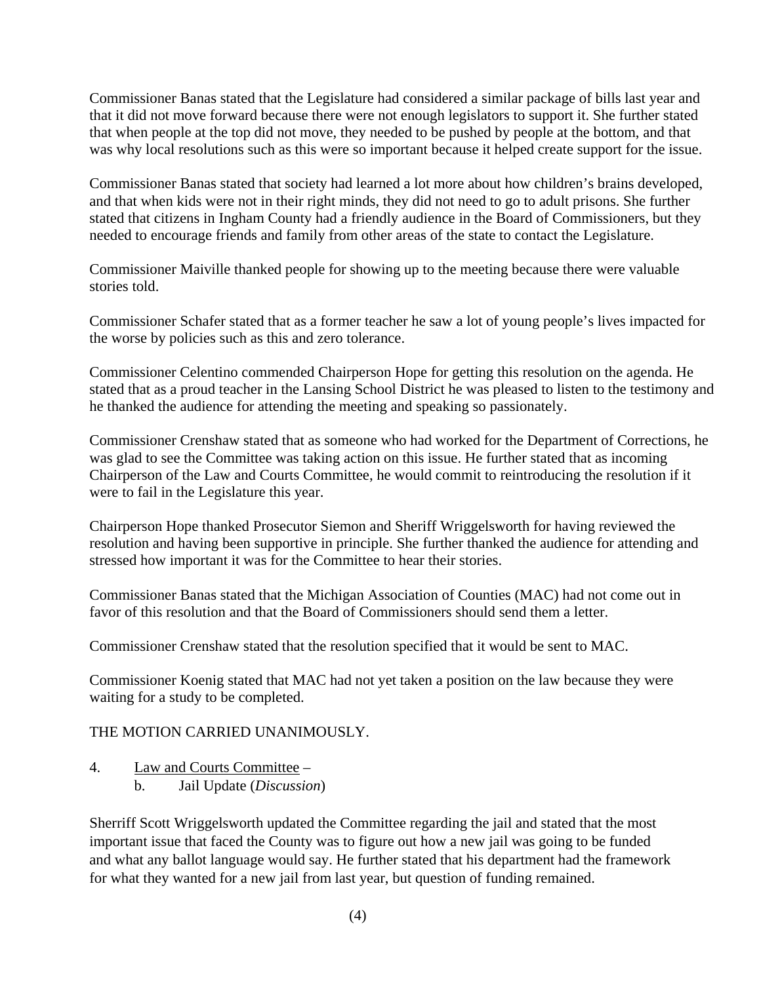Commissioner Banas stated that the Legislature had considered a similar package of bills last year and that it did not move forward because there were not enough legislators to support it. She further stated that when people at the top did not move, they needed to be pushed by people at the bottom, and that was why local resolutions such as this were so important because it helped create support for the issue.

Commissioner Banas stated that society had learned a lot more about how children's brains developed, and that when kids were not in their right minds, they did not need to go to adult prisons. She further stated that citizens in Ingham County had a friendly audience in the Board of Commissioners, but they needed to encourage friends and family from other areas of the state to contact the Legislature.

Commissioner Maiville thanked people for showing up to the meeting because there were valuable stories told.

Commissioner Schafer stated that as a former teacher he saw a lot of young people's lives impacted for the worse by policies such as this and zero tolerance.

Commissioner Celentino commended Chairperson Hope for getting this resolution on the agenda. He stated that as a proud teacher in the Lansing School District he was pleased to listen to the testimony and he thanked the audience for attending the meeting and speaking so passionately.

Commissioner Crenshaw stated that as someone who had worked for the Department of Corrections, he was glad to see the Committee was taking action on this issue. He further stated that as incoming Chairperson of the Law and Courts Committee, he would commit to reintroducing the resolution if it were to fail in the Legislature this year.

Chairperson Hope thanked Prosecutor Siemon and Sheriff Wriggelsworth for having reviewed the resolution and having been supportive in principle. She further thanked the audience for attending and stressed how important it was for the Committee to hear their stories.

Commissioner Banas stated that the Michigan Association of Counties (MAC) had not come out in favor of this resolution and that the Board of Commissioners should send them a letter.

Commissioner Crenshaw stated that the resolution specified that it would be sent to MAC.

Commissioner Koenig stated that MAC had not yet taken a position on the law because they were waiting for a study to be completed.

## THE MOTION CARRIED UNANIMOUSLY.

4. Law and Courts Committee – b. Jail Update (*Discussion*)

 Sherriff Scott Wriggelsworth updated the Committee regarding the jail and stated that the most important issue that faced the County was to figure out how a new jail was going to be funded and what any ballot language would say. He further stated that his department had the framework for what they wanted for a new jail from last year, but question of funding remained.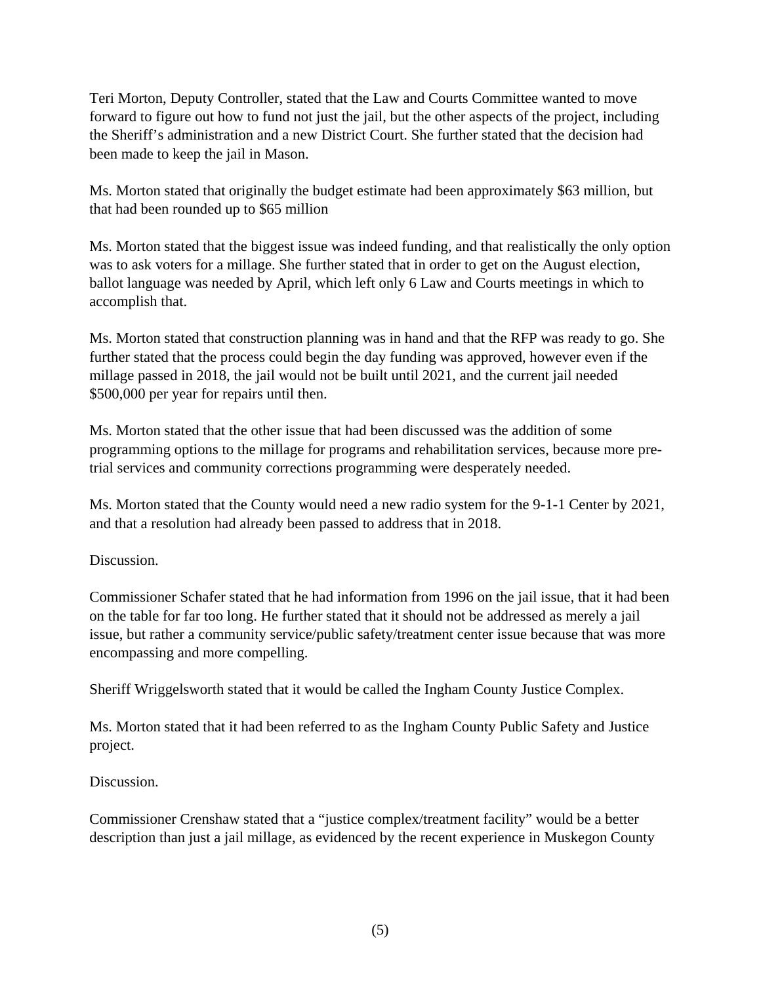Teri Morton, Deputy Controller, stated that the Law and Courts Committee wanted to move forward to figure out how to fund not just the jail, but the other aspects of the project, including the Sheriff's administration and a new District Court. She further stated that the decision had been made to keep the jail in Mason.

 Ms. Morton stated that originally the budget estimate had been approximately \$63 million, but that had been rounded up to \$65 million

 Ms. Morton stated that the biggest issue was indeed funding, and that realistically the only option was to ask voters for a millage. She further stated that in order to get on the August election, ballot language was needed by April, which left only 6 Law and Courts meetings in which to accomplish that.

 Ms. Morton stated that construction planning was in hand and that the RFP was ready to go. She further stated that the process could begin the day funding was approved, however even if the millage passed in 2018, the jail would not be built until 2021, and the current jail needed \$500,000 per year for repairs until then.

Ms. Morton stated that the other issue that had been discussed was the addition of some programming options to the millage for programs and rehabilitation services, because more pretrial services and community corrections programming were desperately needed.

Ms. Morton stated that the County would need a new radio system for the 9-1-1 Center by 2021, and that a resolution had already been passed to address that in 2018.

Discussion.

Commissioner Schafer stated that he had information from 1996 on the jail issue, that it had been on the table for far too long. He further stated that it should not be addressed as merely a jail issue, but rather a community service/public safety/treatment center issue because that was more encompassing and more compelling.

Sheriff Wriggelsworth stated that it would be called the Ingham County Justice Complex.

Ms. Morton stated that it had been referred to as the Ingham County Public Safety and Justice project.

Discussion.

Commissioner Crenshaw stated that a "justice complex/treatment facility" would be a better description than just a jail millage, as evidenced by the recent experience in Muskegon County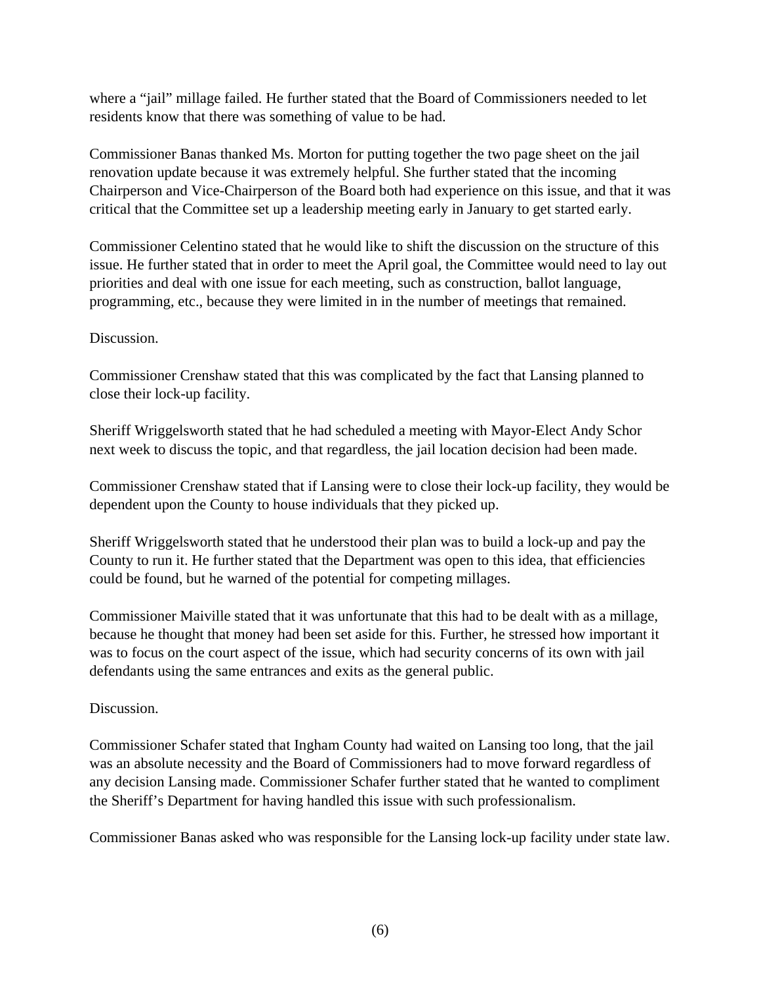where a "jail" millage failed. He further stated that the Board of Commissioners needed to let residents know that there was something of value to be had.

Commissioner Banas thanked Ms. Morton for putting together the two page sheet on the jail renovation update because it was extremely helpful. She further stated that the incoming Chairperson and Vice-Chairperson of the Board both had experience on this issue, and that it was critical that the Committee set up a leadership meeting early in January to get started early.

Commissioner Celentino stated that he would like to shift the discussion on the structure of this issue. He further stated that in order to meet the April goal, the Committee would need to lay out priorities and deal with one issue for each meeting, such as construction, ballot language, programming, etc., because they were limited in in the number of meetings that remained.

## Discussion.

Commissioner Crenshaw stated that this was complicated by the fact that Lansing planned to close their lock-up facility.

Sheriff Wriggelsworth stated that he had scheduled a meeting with Mayor-Elect Andy Schor next week to discuss the topic, and that regardless, the jail location decision had been made.

Commissioner Crenshaw stated that if Lansing were to close their lock-up facility, they would be dependent upon the County to house individuals that they picked up.

Sheriff Wriggelsworth stated that he understood their plan was to build a lock-up and pay the County to run it. He further stated that the Department was open to this idea, that efficiencies could be found, but he warned of the potential for competing millages.

Commissioner Maiville stated that it was unfortunate that this had to be dealt with as a millage, because he thought that money had been set aside for this. Further, he stressed how important it was to focus on the court aspect of the issue, which had security concerns of its own with jail defendants using the same entrances and exits as the general public.

## Discussion.

Commissioner Schafer stated that Ingham County had waited on Lansing too long, that the jail was an absolute necessity and the Board of Commissioners had to move forward regardless of any decision Lansing made. Commissioner Schafer further stated that he wanted to compliment the Sheriff's Department for having handled this issue with such professionalism.

Commissioner Banas asked who was responsible for the Lansing lock-up facility under state law.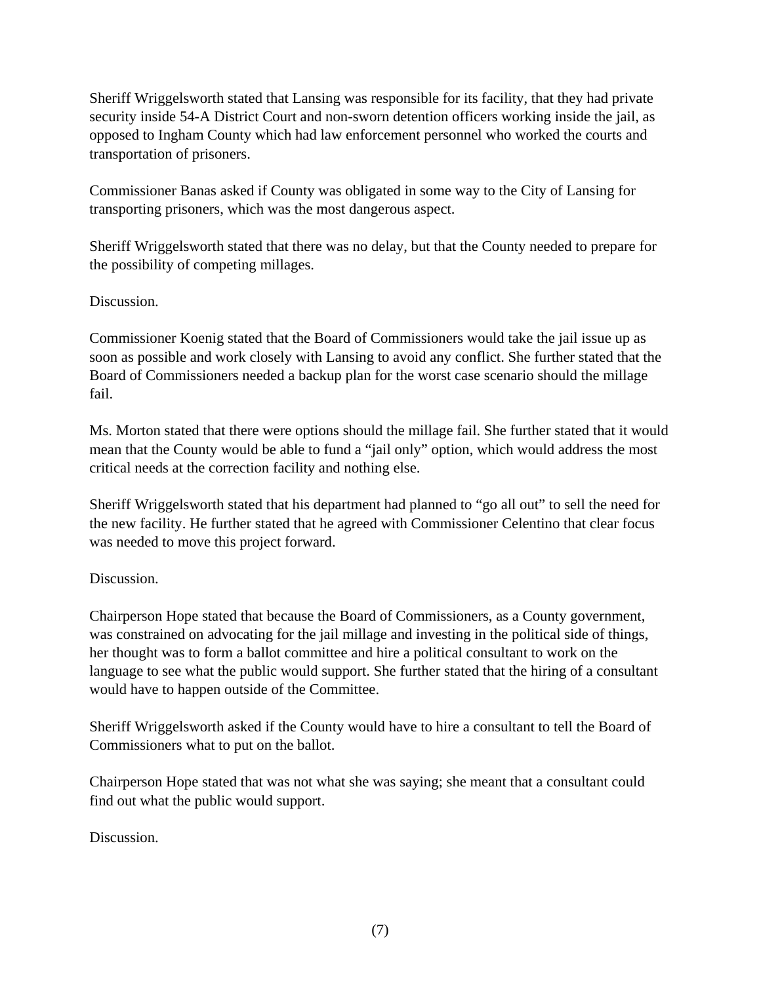Sheriff Wriggelsworth stated that Lansing was responsible for its facility, that they had private security inside 54-A District Court and non-sworn detention officers working inside the jail, as opposed to Ingham County which had law enforcement personnel who worked the courts and transportation of prisoners.

Commissioner Banas asked if County was obligated in some way to the City of Lansing for transporting prisoners, which was the most dangerous aspect.

Sheriff Wriggelsworth stated that there was no delay, but that the County needed to prepare for the possibility of competing millages.

Discussion.

Commissioner Koenig stated that the Board of Commissioners would take the jail issue up as soon as possible and work closely with Lansing to avoid any conflict. She further stated that the Board of Commissioners needed a backup plan for the worst case scenario should the millage fail.

Ms. Morton stated that there were options should the millage fail. She further stated that it would mean that the County would be able to fund a "jail only" option, which would address the most critical needs at the correction facility and nothing else.

Sheriff Wriggelsworth stated that his department had planned to "go all out" to sell the need for the new facility. He further stated that he agreed with Commissioner Celentino that clear focus was needed to move this project forward.

## Discussion.

Chairperson Hope stated that because the Board of Commissioners, as a County government, was constrained on advocating for the jail millage and investing in the political side of things, her thought was to form a ballot committee and hire a political consultant to work on the language to see what the public would support. She further stated that the hiring of a consultant would have to happen outside of the Committee.

Sheriff Wriggelsworth asked if the County would have to hire a consultant to tell the Board of Commissioners what to put on the ballot.

Chairperson Hope stated that was not what she was saying; she meant that a consultant could find out what the public would support.

Discussion.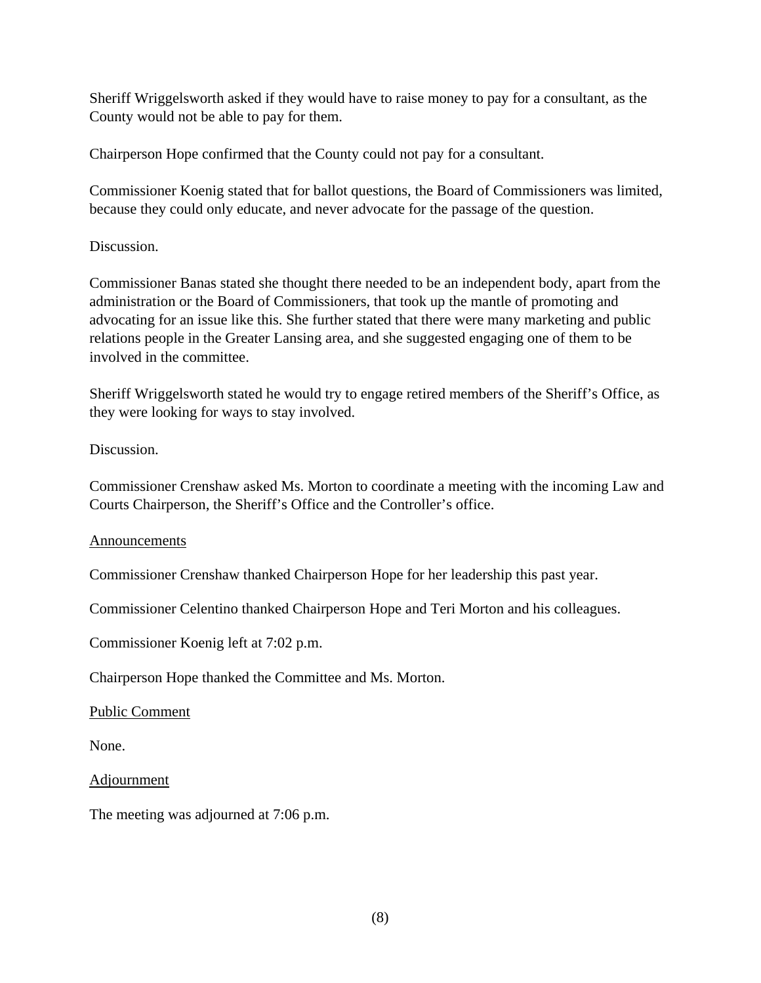Sheriff Wriggelsworth asked if they would have to raise money to pay for a consultant, as the County would not be able to pay for them.

Chairperson Hope confirmed that the County could not pay for a consultant.

Commissioner Koenig stated that for ballot questions, the Board of Commissioners was limited, because they could only educate, and never advocate for the passage of the question.

## Discussion.

Commissioner Banas stated she thought there needed to be an independent body, apart from the administration or the Board of Commissioners, that took up the mantle of promoting and advocating for an issue like this. She further stated that there were many marketing and public relations people in the Greater Lansing area, and she suggested engaging one of them to be involved in the committee.

Sheriff Wriggelsworth stated he would try to engage retired members of the Sheriff's Office, as they were looking for ways to stay involved.

## Discussion.

Commissioner Crenshaw asked Ms. Morton to coordinate a meeting with the incoming Law and Courts Chairperson, the Sheriff's Office and the Controller's office.

## Announcements

Commissioner Crenshaw thanked Chairperson Hope for her leadership this past year.

Commissioner Celentino thanked Chairperson Hope and Teri Morton and his colleagues.

Commissioner Koenig left at 7:02 p.m.

Chairperson Hope thanked the Committee and Ms. Morton.

## Public Comment

None.

Adjournment

The meeting was adjourned at 7:06 p.m.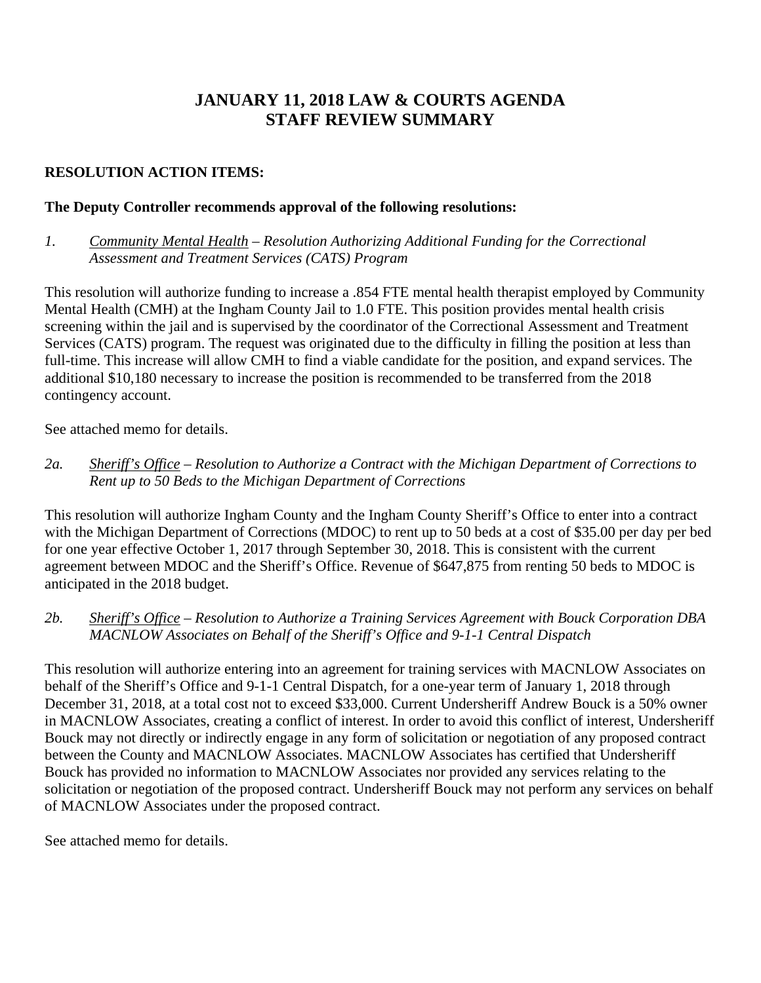# **JANUARY 11, 2018 LAW & COURTS AGENDA STAFF REVIEW SUMMARY**

## **RESOLUTION ACTION ITEMS:**

## **The Deputy Controller recommends approval of the following resolutions:**

*1. Community Mental Health – Resolution Authorizing Additional Funding for the Correctional Assessment and Treatment Services (CATS) Program* 

This resolution will authorize funding to increase a .854 FTE mental health therapist employed by Community Mental Health (CMH) at the Ingham County Jail to 1.0 FTE. This position provides mental health crisis screening within the jail and is supervised by the coordinator of the Correctional Assessment and Treatment Services (CATS) program. The request was originated due to the difficulty in filling the position at less than full-time. This increase will allow CMH to find a viable candidate for the position, and expand services. The additional \$10,180 necessary to increase the position is recommended to be transferred from the 2018 contingency account.

See attached memo for details.

*2a. Sheriff's Office – Resolution to Authorize a Contract with the Michigan Department of Corrections to Rent up to 50 Beds to the Michigan Department of Corrections*

This resolution will authorize Ingham County and the Ingham County Sheriff's Office to enter into a contract with the Michigan Department of Corrections (MDOC) to rent up to 50 beds at a cost of \$35.00 per day per bed for one year effective October 1, 2017 through September 30, 2018. This is consistent with the current agreement between MDOC and the Sheriff's Office. Revenue of \$647,875 from renting 50 beds to MDOC is anticipated in the 2018 budget.

## *2b. Sheriff's Office – Resolution to Authorize a Training Services Agreement with Bouck Corporation DBA MACNLOW Associates on Behalf of the Sheriff's Office and 9-1-1 Central Dispatch*

This resolution will authorize entering into an agreement for training services with MACNLOW Associates on behalf of the Sheriff's Office and 9-1-1 Central Dispatch, for a one-year term of January 1, 2018 through December 31, 2018, at a total cost not to exceed \$33,000. Current Undersheriff Andrew Bouck is a 50% owner in MACNLOW Associates, creating a conflict of interest. In order to avoid this conflict of interest, Undersheriff Bouck may not directly or indirectly engage in any form of solicitation or negotiation of any proposed contract between the County and MACNLOW Associates. MACNLOW Associates has certified that Undersheriff Bouck has provided no information to MACNLOW Associates nor provided any services relating to the solicitation or negotiation of the proposed contract. Undersheriff Bouck may not perform any services on behalf of MACNLOW Associates under the proposed contract.

See attached memo for details.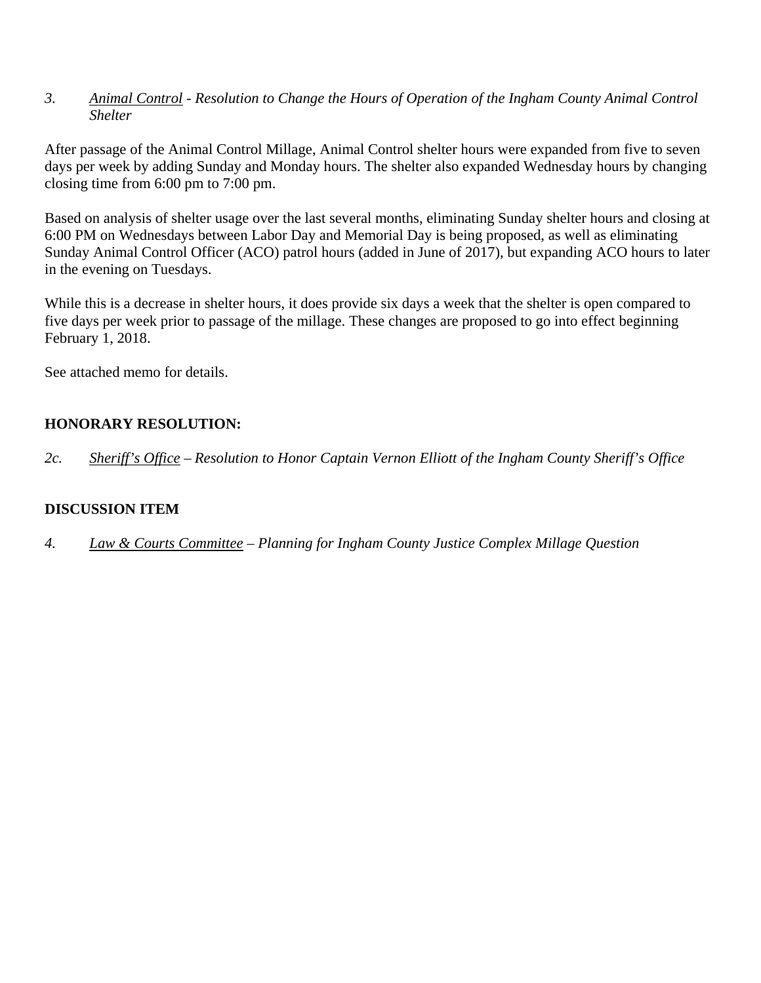*3. Animal Control - Resolution to Change the Hours of Operation of the Ingham County Animal Control Shelter* 

After passage of the Animal Control Millage, Animal Control shelter hours were expanded from five to seven days per week by adding Sunday and Monday hours. The shelter also expanded Wednesday hours by changing closing time from 6:00 pm to 7:00 pm.

Based on analysis of shelter usage over the last several months, eliminating Sunday shelter hours and closing at 6:00 PM on Wednesdays between Labor Day and Memorial Day is being proposed, as well as eliminating Sunday Animal Control Officer (ACO) patrol hours (added in June of 2017), but expanding ACO hours to later in the evening on Tuesdays.

While this is a decrease in shelter hours, it does provide six days a week that the shelter is open compared to five days per week prior to passage of the millage. These changes are proposed to go into effect beginning February 1, 2018.

See attached memo for details.

## **HONORARY RESOLUTION:**

*2c. Sheriff's Office – Resolution to Honor Captain Vernon Elliott of the Ingham County Sheriff's Office*

## **DISCUSSION ITEM**

*4. Law & Courts Committee – Planning for Ingham County Justice Complex Millage Question*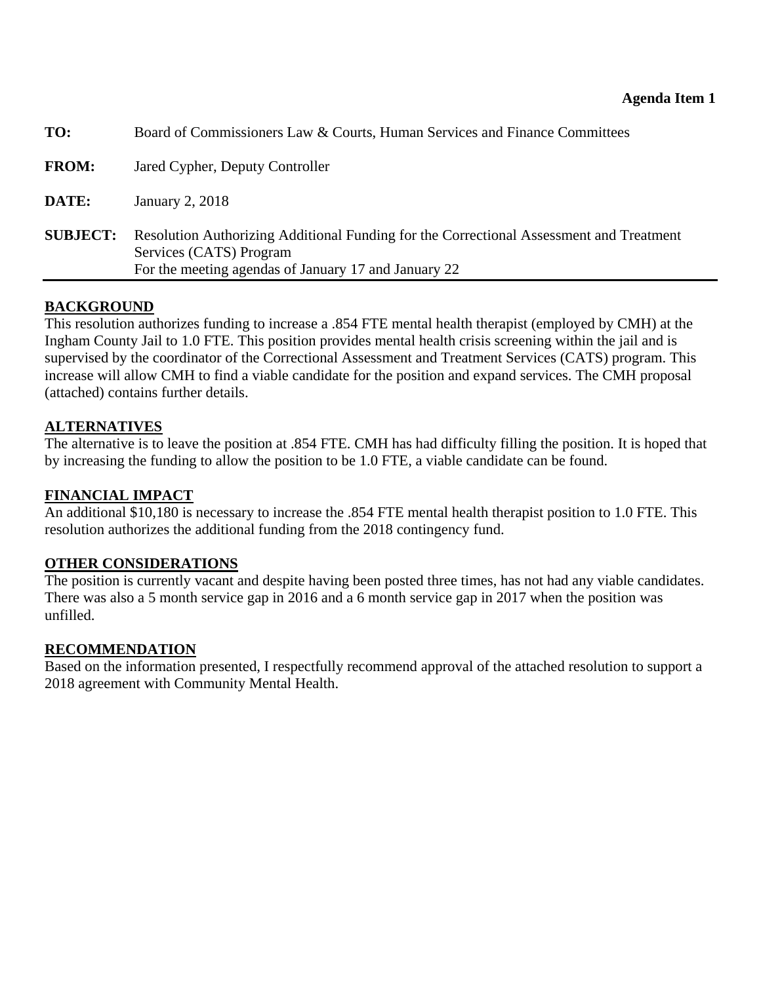<span id="page-11-0"></span>

| TO:             | Board of Commissioners Law & Courts, Human Services and Finance Committees                                                                                                 |
|-----------------|----------------------------------------------------------------------------------------------------------------------------------------------------------------------------|
| <b>FROM:</b>    | Jared Cypher, Deputy Controller                                                                                                                                            |
| DATE:           | January 2, 2018                                                                                                                                                            |
| <b>SUBJECT:</b> | Resolution Authorizing Additional Funding for the Correctional Assessment and Treatment<br>Services (CATS) Program<br>For the meeting agendas of January 17 and January 22 |

## **BACKGROUND**

This resolution authorizes funding to increase a .854 FTE mental health therapist (employed by CMH) at the Ingham County Jail to 1.0 FTE. This position provides mental health crisis screening within the jail and is supervised by the coordinator of the Correctional Assessment and Treatment Services (CATS) program. This increase will allow CMH to find a viable candidate for the position and expand services. The CMH proposal (attached) contains further details.

## **ALTERNATIVES**

The alternative is to leave the position at .854 FTE. CMH has had difficulty filling the position. It is hoped that by increasing the funding to allow the position to be 1.0 FTE, a viable candidate can be found.

## **FINANCIAL IMPACT**

An additional \$10,180 is necessary to increase the .854 FTE mental health therapist position to 1.0 FTE. This resolution authorizes the additional funding from the 2018 contingency fund.

#### **OTHER CONSIDERATIONS**

The position is currently vacant and despite having been posted three times, has not had any viable candidates. There was also a 5 month service gap in 2016 and a 6 month service gap in 2017 when the position was unfilled.

## **RECOMMENDATION**

Based on the information presented, I respectfully recommend approval of the attached resolution to support a 2018 agreement with Community Mental Health.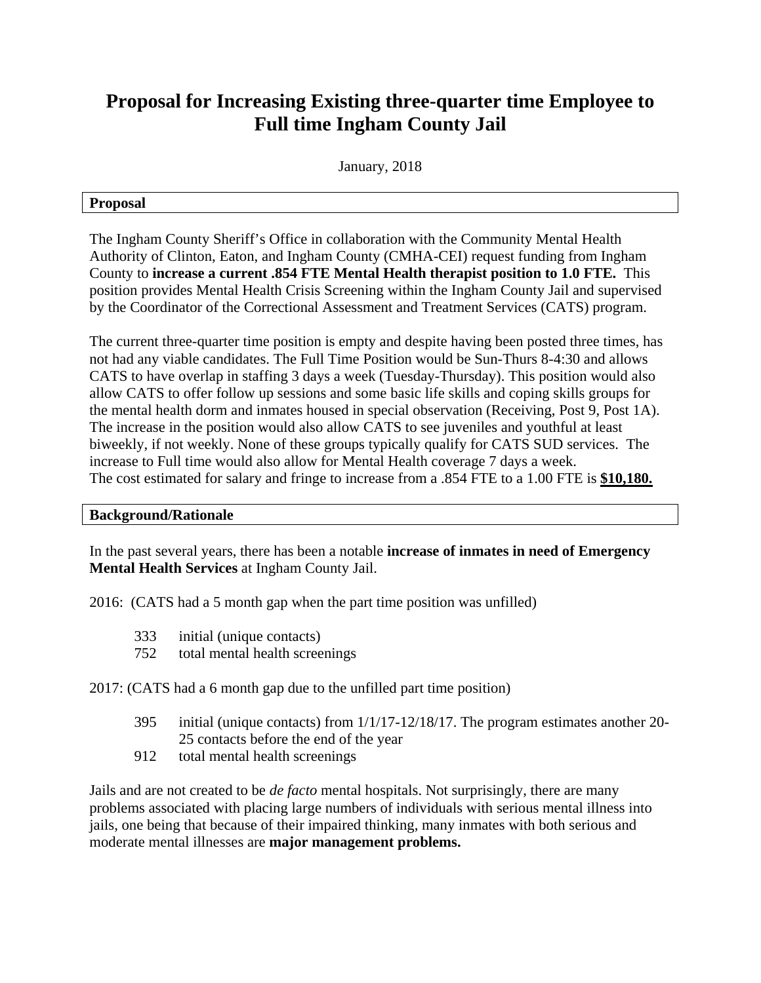# **Proposal for Increasing Existing three-quarter time Employee to Full time Ingham County Jail**

January, 2018

#### **Proposal**

The Ingham County Sheriff's Office in collaboration with the Community Mental Health Authority of Clinton, Eaton, and Ingham County (CMHA-CEI) request funding from Ingham County to **increase a current .854 FTE Mental Health therapist position to 1.0 FTE.** This position provides Mental Health Crisis Screening within the Ingham County Jail and supervised by the Coordinator of the Correctional Assessment and Treatment Services (CATS) program.

The current three-quarter time position is empty and despite having been posted three times, has not had any viable candidates. The Full Time Position would be Sun-Thurs 8-4:30 and allows CATS to have overlap in staffing 3 days a week (Tuesday-Thursday). This position would also allow CATS to offer follow up sessions and some basic life skills and coping skills groups for the mental health dorm and inmates housed in special observation (Receiving, Post 9, Post 1A). The increase in the position would also allow CATS to see juveniles and youthful at least biweekly, if not weekly. None of these groups typically qualify for CATS SUD services. The increase to Full time would also allow for Mental Health coverage 7 days a week. The cost estimated for salary and fringe to increase from a .854 FTE to a 1.00 FTE is **\$10,180.** 

#### **Background/Rationale**

In the past several years, there has been a notable **increase of inmates in need of Emergency Mental Health Services** at Ingham County Jail.

2016: (CATS had a 5 month gap when the part time position was unfilled)

- 333 initial (unique contacts)
- 752 total mental health screenings

2017: (CATS had a 6 month gap due to the unfilled part time position)

- 395 initial (unique contacts) from 1/1/17-12/18/17. The program estimates another 20- 25 contacts before the end of the year
- 912 total mental health screenings

Jails and are not created to be *de facto* mental hospitals. Not surprisingly, there are many problems associated with placing large numbers of individuals with serious mental illness into jails, one being that because of their impaired thinking, many inmates with both serious and moderate mental illnesses are **major management problems.**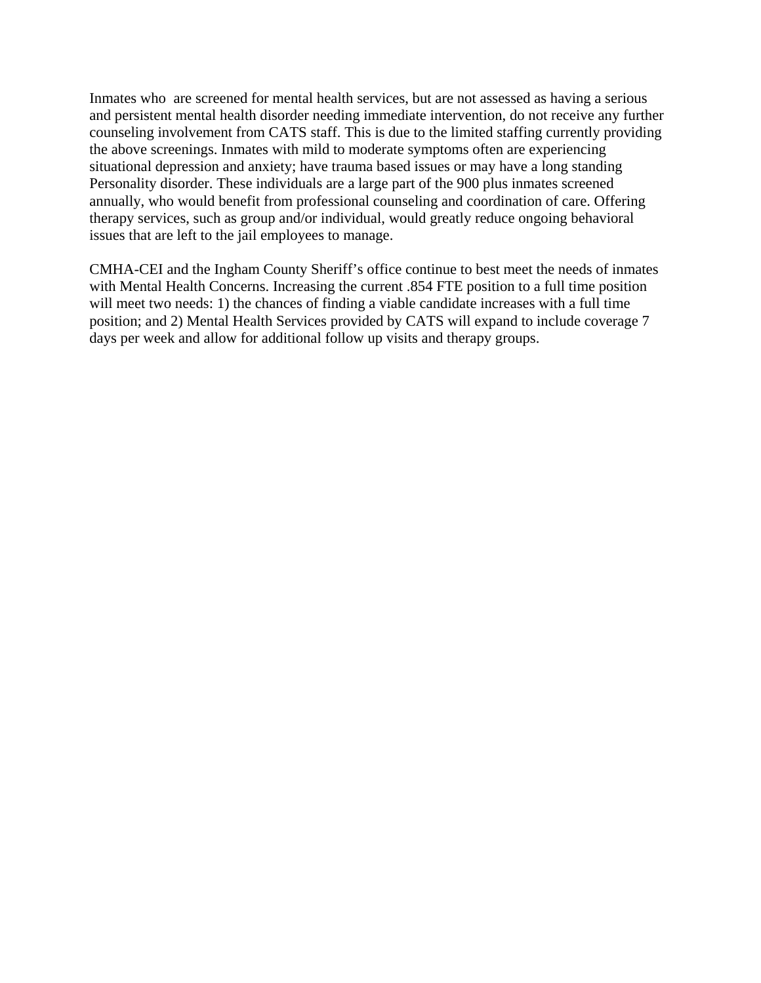Inmates who are screened for mental health services, but are not assessed as having a serious and persistent mental health disorder needing immediate intervention, do not receive any further counseling involvement from CATS staff. This is due to the limited staffing currently providing the above screenings. Inmates with mild to moderate symptoms often are experiencing situational depression and anxiety; have trauma based issues or may have a long standing Personality disorder. These individuals are a large part of the 900 plus inmates screened annually, who would benefit from professional counseling and coordination of care. Offering therapy services, such as group and/or individual, would greatly reduce ongoing behavioral issues that are left to the jail employees to manage.

CMHA-CEI and the Ingham County Sheriff's office continue to best meet the needs of inmates with Mental Health Concerns. Increasing the current .854 FTE position to a full time position will meet two needs: 1) the chances of finding a viable candidate increases with a full time position; and 2) Mental Health Services provided by CATS will expand to include coverage 7 days per week and allow for additional follow up visits and therapy groups.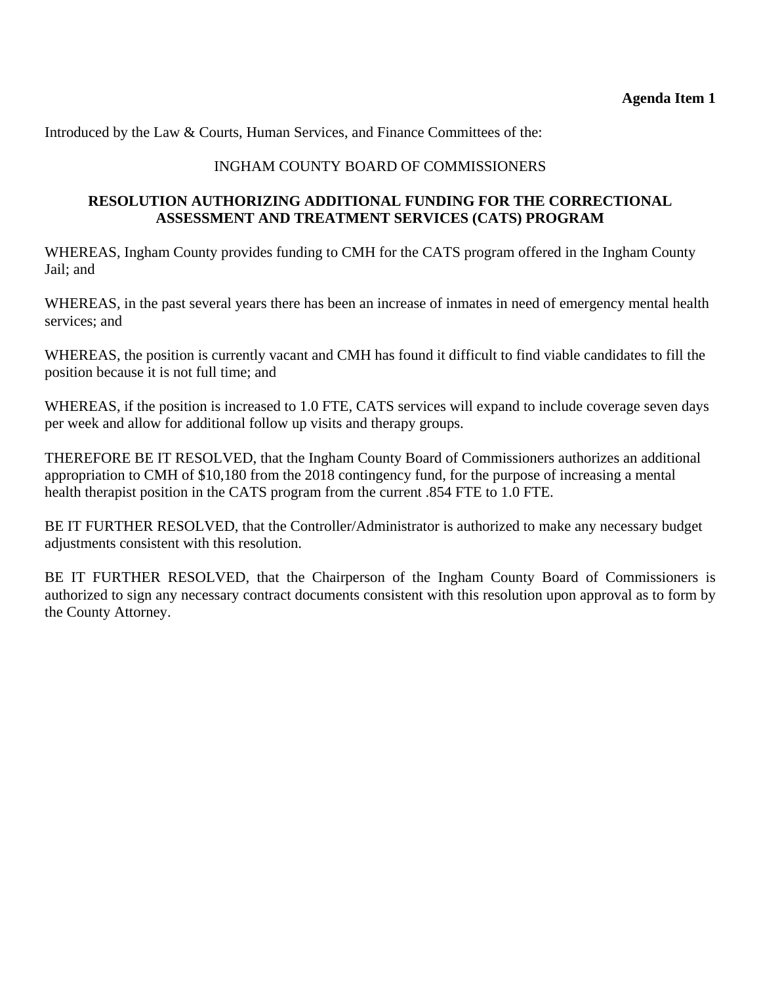Introduced by the Law & Courts, Human Services, and Finance Committees of the:

## INGHAM COUNTY BOARD OF COMMISSIONERS

## **RESOLUTION AUTHORIZING ADDITIONAL FUNDING FOR THE CORRECTIONAL ASSESSMENT AND TREATMENT SERVICES (CATS) PROGRAM**

WHEREAS, Ingham County provides funding to CMH for the CATS program offered in the Ingham County Jail; and

WHEREAS, in the past several years there has been an increase of inmates in need of emergency mental health services; and

WHEREAS, the position is currently vacant and CMH has found it difficult to find viable candidates to fill the position because it is not full time; and

WHEREAS, if the position is increased to 1.0 FTE, CATS services will expand to include coverage seven days per week and allow for additional follow up visits and therapy groups.

THEREFORE BE IT RESOLVED, that the Ingham County Board of Commissioners authorizes an additional appropriation to CMH of \$10,180 from the 2018 contingency fund, for the purpose of increasing a mental health therapist position in the CATS program from the current .854 FTE to 1.0 FTE.

BE IT FURTHER RESOLVED, that the Controller/Administrator is authorized to make any necessary budget adjustments consistent with this resolution.

BE IT FURTHER RESOLVED, that the Chairperson of the Ingham County Board of Commissioners is authorized to sign any necessary contract documents consistent with this resolution upon approval as to form by the County Attorney.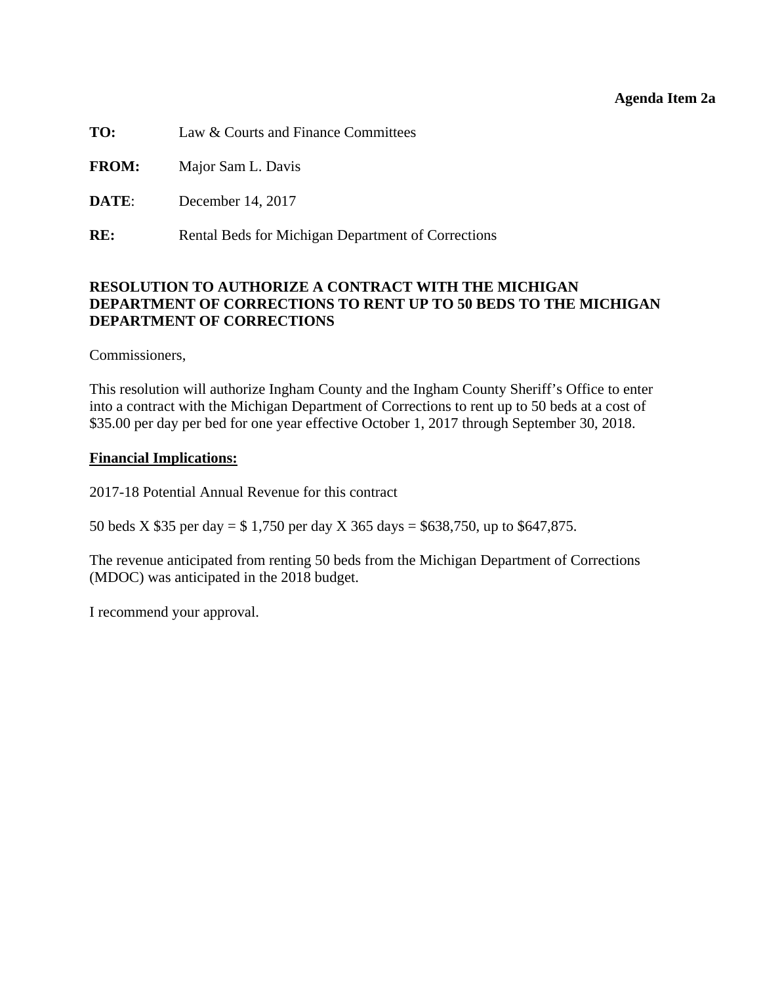#### **Agenda Item 2a**

<span id="page-15-0"></span>**TO:** Law & Courts and Finance Committees

**FROM:** Major Sam L. Davis

**DATE:** December 14, 2017

**RE:** Rental Beds for Michigan Department of Corrections

## **RESOLUTION TO AUTHORIZE A CONTRACT WITH THE MICHIGAN DEPARTMENT OF CORRECTIONS TO RENT UP TO 50 BEDS TO THE MICHIGAN DEPARTMENT OF CORRECTIONS**

Commissioners,

This resolution will authorize Ingham County and the Ingham County Sheriff's Office to enter into a contract with the Michigan Department of Corrections to rent up to 50 beds at a cost of \$35.00 per day per bed for one year effective October 1, 2017 through September 30, 2018.

#### **Financial Implications:**

2017-18 Potential Annual Revenue for this contract

50 beds X \$35 per day = \$ 1,750 per day X 365 days = \$638,750, up to \$647,875.

The revenue anticipated from renting 50 beds from the Michigan Department of Corrections (MDOC) was anticipated in the 2018 budget.

I recommend your approval.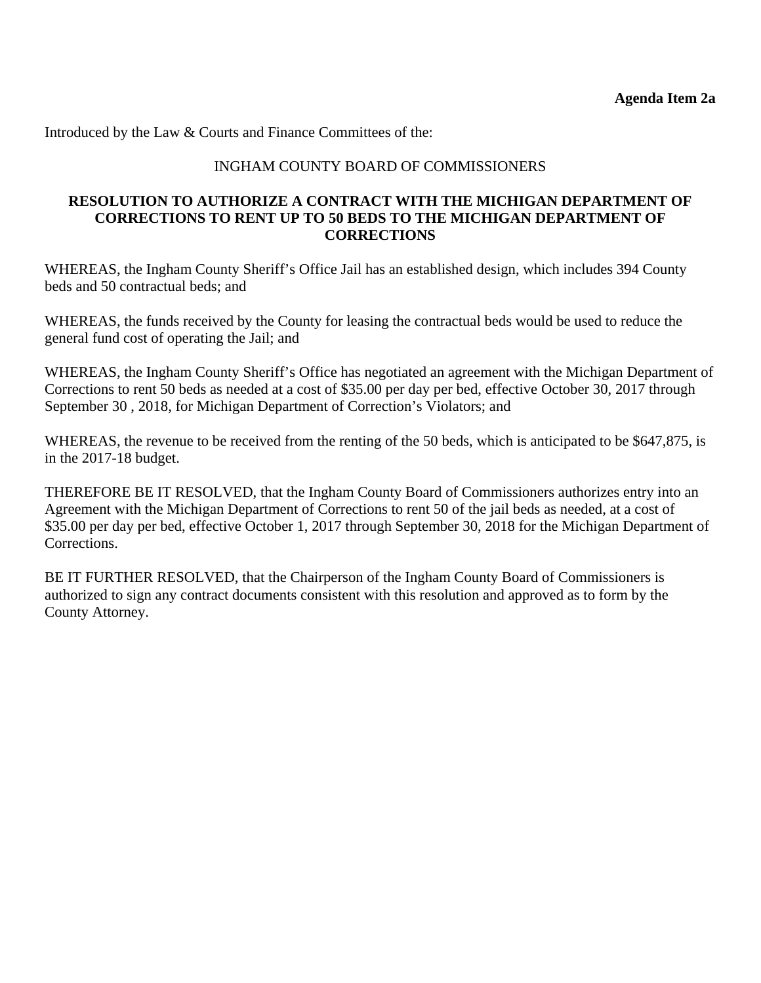Introduced by the Law & Courts and Finance Committees of the:

## INGHAM COUNTY BOARD OF COMMISSIONERS

## **RESOLUTION TO AUTHORIZE A CONTRACT WITH THE MICHIGAN DEPARTMENT OF CORRECTIONS TO RENT UP TO 50 BEDS TO THE MICHIGAN DEPARTMENT OF CORRECTIONS**

WHEREAS, the Ingham County Sheriff's Office Jail has an established design, which includes 394 County beds and 50 contractual beds; and

WHEREAS, the funds received by the County for leasing the contractual beds would be used to reduce the general fund cost of operating the Jail; and

WHEREAS, the Ingham County Sheriff's Office has negotiated an agreement with the Michigan Department of Corrections to rent 50 beds as needed at a cost of \$35.00 per day per bed, effective October 30, 2017 through September 30 , 2018, for Michigan Department of Correction's Violators; and

WHEREAS, the revenue to be received from the renting of the 50 beds, which is anticipated to be \$647,875, is in the 2017-18 budget.

THEREFORE BE IT RESOLVED, that the Ingham County Board of Commissioners authorizes entry into an Agreement with the Michigan Department of Corrections to rent 50 of the jail beds as needed, at a cost of \$35.00 per day per bed, effective October 1, 2017 through September 30, 2018 for the Michigan Department of Corrections.

BE IT FURTHER RESOLVED, that the Chairperson of the Ingham County Board of Commissioners is authorized to sign any contract documents consistent with this resolution and approved as to form by the County Attorney.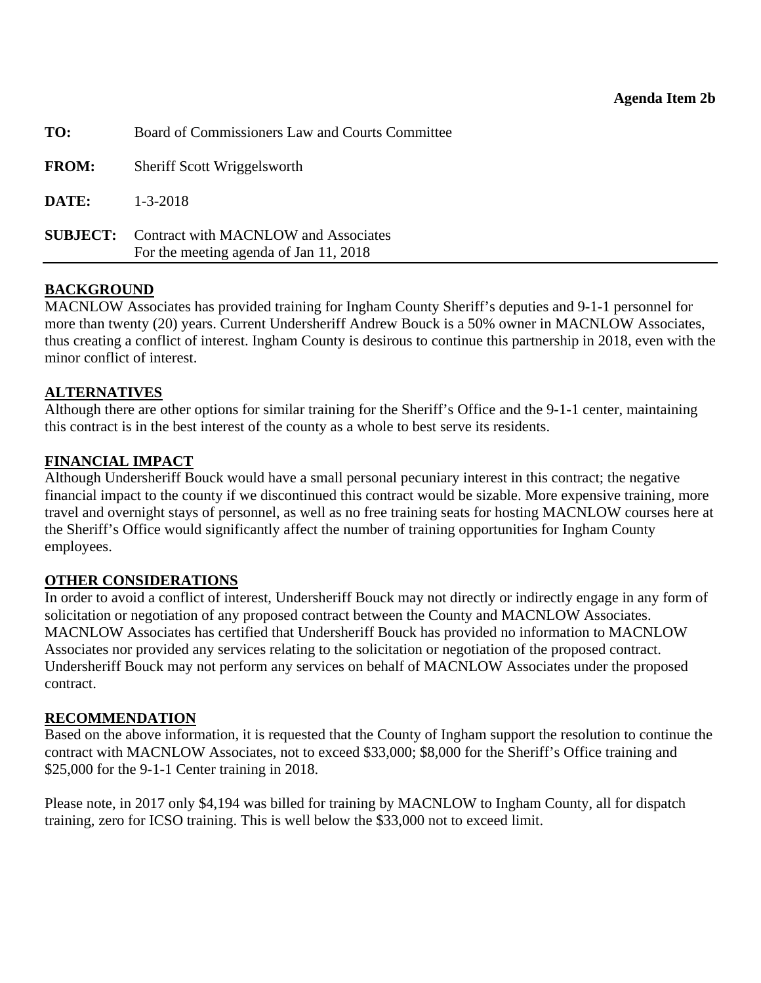<span id="page-17-0"></span>

| TO:          | Board of Commissioners Law and Courts Committee                                                |
|--------------|------------------------------------------------------------------------------------------------|
| <b>FROM:</b> | Sheriff Scott Wriggelsworth                                                                    |
| DATE:        | $1 - 3 - 2018$                                                                                 |
|              | <b>SUBJECT:</b> Contract with MACNLOW and Associates<br>For the meeting agenda of Jan 11, 2018 |

## **BACKGROUND**

MACNLOW Associates has provided training for Ingham County Sheriff's deputies and 9-1-1 personnel for more than twenty (20) years. Current Undersheriff Andrew Bouck is a 50% owner in MACNLOW Associates, thus creating a conflict of interest. Ingham County is desirous to continue this partnership in 2018, even with the minor conflict of interest.

## **ALTERNATIVES**

Although there are other options for similar training for the Sheriff's Office and the 9-1-1 center, maintaining this contract is in the best interest of the county as a whole to best serve its residents.

## **FINANCIAL IMPACT**

Although Undersheriff Bouck would have a small personal pecuniary interest in this contract; the negative financial impact to the county if we discontinued this contract would be sizable. More expensive training, more travel and overnight stays of personnel, as well as no free training seats for hosting MACNLOW courses here at the Sheriff's Office would significantly affect the number of training opportunities for Ingham County employees.

## **OTHER CONSIDERATIONS**

In order to avoid a conflict of interest, Undersheriff Bouck may not directly or indirectly engage in any form of solicitation or negotiation of any proposed contract between the County and MACNLOW Associates. MACNLOW Associates has certified that Undersheriff Bouck has provided no information to MACNLOW Associates nor provided any services relating to the solicitation or negotiation of the proposed contract. Undersheriff Bouck may not perform any services on behalf of MACNLOW Associates under the proposed contract.

## **RECOMMENDATION**

Based on the above information, it is requested that the County of Ingham support the resolution to continue the contract with MACNLOW Associates, not to exceed \$33,000; \$8,000 for the Sheriff's Office training and \$25,000 for the 9-1-1 Center training in 2018.

Please note, in 2017 only \$4,194 was billed for training by MACNLOW to Ingham County, all for dispatch training, zero for ICSO training. This is well below the \$33,000 not to exceed limit.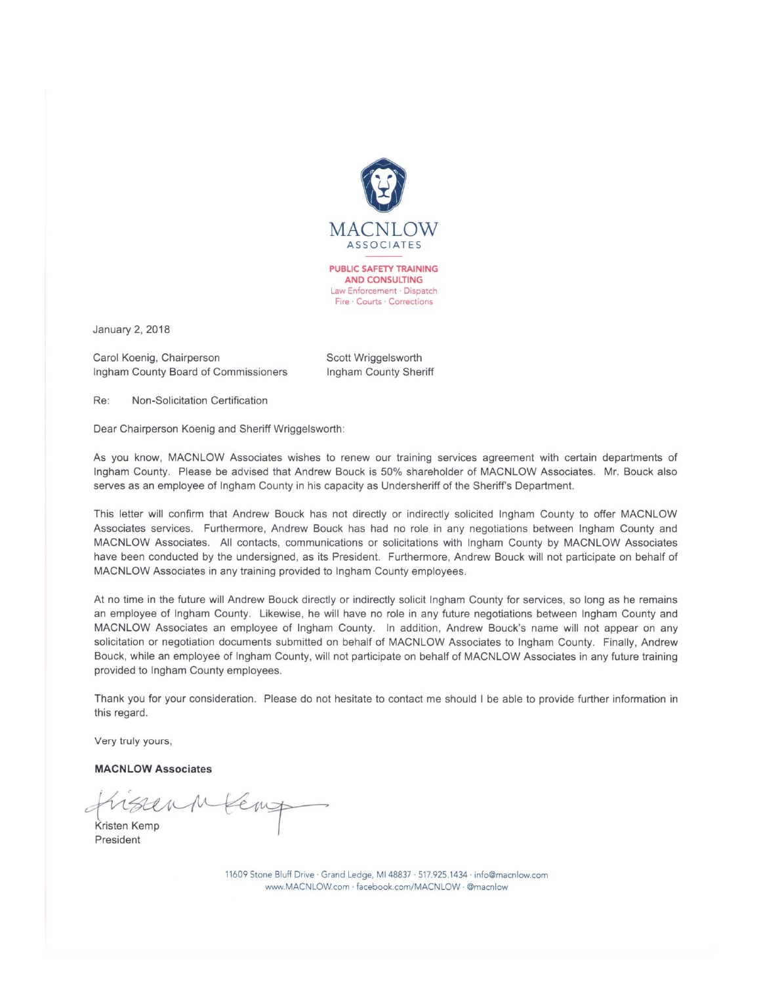

January 2, 2018

Carol Koenig, Chairperson Ingham County Board of Commissioners

Scott Wriggelsworth Ingham County Sheriff

Re: Non-Solicitation Certification

Dear Chairperson Koenig and Sheriff Wriggelsworth:

As you know, MACNLOW Associates wishes to renew our training services agreement with certain departments of Ingham County. Please be advised that Andrew Bouck is 50% shareholder of MACNLOW Associates. Mr. Bouck also serves as an employee of Ingham County in his capacity as Undersheriff of the Sheriff's Department.

This letter will confirm that Andrew Bouck has not directly or indirectly solicited Ingham County to offer MACNLOW Associates services. Furthermore, Andrew Bouck has had no role in any negotiations between Ingham County and MACNLOW Associates. All contacts, communications or solicitations with Ingham County by MACNLOW Associates have been conducted by the undersigned, as its President. Furthermore, Andrew Bouck will not participate on behalf of MACNLOW Associates in any training provided to Ingham County employees.

At no time in the future will Andrew Bouck directly or indirectly solicit Ingham County for services, so long as he remains an employee of Ingham County. Likewise, he will have no role in any future negotiations between Ingham County and MACNLOW Associates an employee of Ingham County. In addition, Andrew Bouck's name will not appear on any solicitation or negotiation documents submitted on behalf of MACNLOW Associates to Ingham County. Finally, Andrew Bouck, while an employee of Ingham County, will not participate on behalf of MACNLOW Associates in any future training provided to Ingham County employees.

Thank you for your consideration. Please do not hesitate to contact me should I be able to provide further information in this regard.

Very truly yours,

**MACNLOW Associates** 

sennkent Kristen Kemp

President

11609 Stone Bluff Drive · Grand Ledge, MI 48837 · 517.925.1434 · info@macnlow.com www.MACNLOW.com · facebook.com/MACNLOW · @macnlow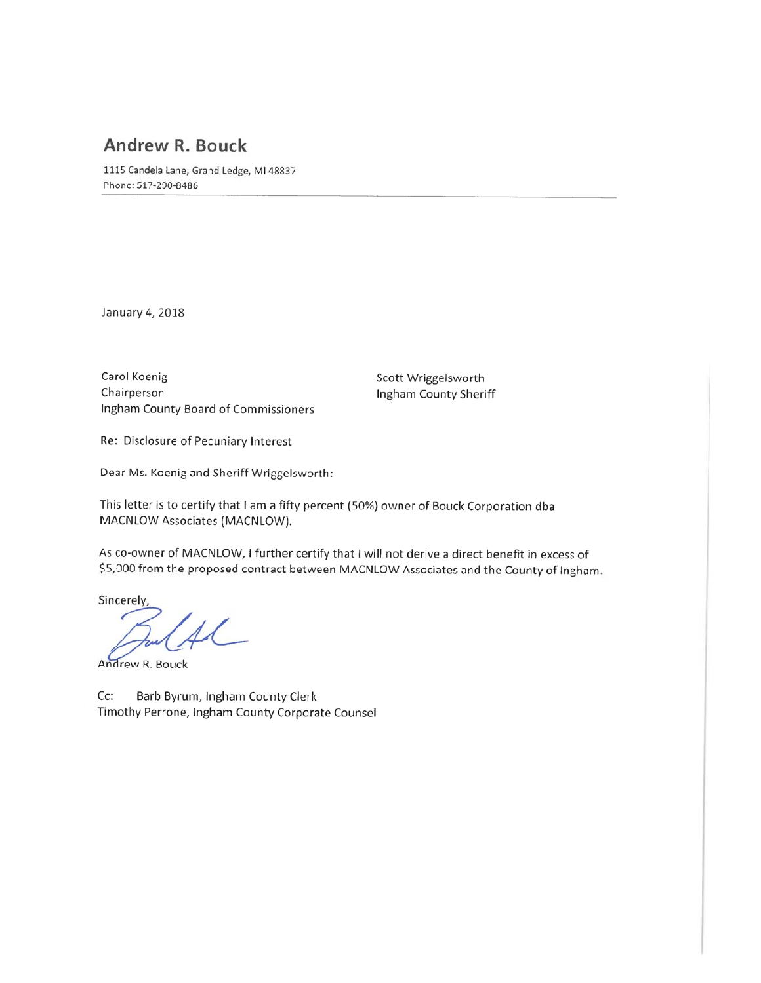# Andrew R. Bouck

1115 Candela Lane, Grand Ledge, MI 48837 Phone: 517-290-8486

January 4, 2018

Carol Koenig Chairperson Ingham County Board of Commissioners

Scott Wriggelsworth Ingham County Sheriff

Re: Disclosure of Pecuniary Interest

Dear Ms. Koenig and Sheriff Wriggelsworth:

This letter is to certify that I am a fifty percent (50%) owner of Bouck Corporation dba MACNLOW Associates (MACNLOW).

As co-owner of MACNLOW, I further certify that I will not derive a direct benefit in excess of \$5,000 from the proposed contract between MACNLOW Associates and the County of Ingham.

Sincerely,

 $\overline{\mathcal{L}}$ 

Andrew R. Bouck

Cc: Barb Byrum, Ingham County Clerk Timothy Perrone, Ingham County Corporate Counsel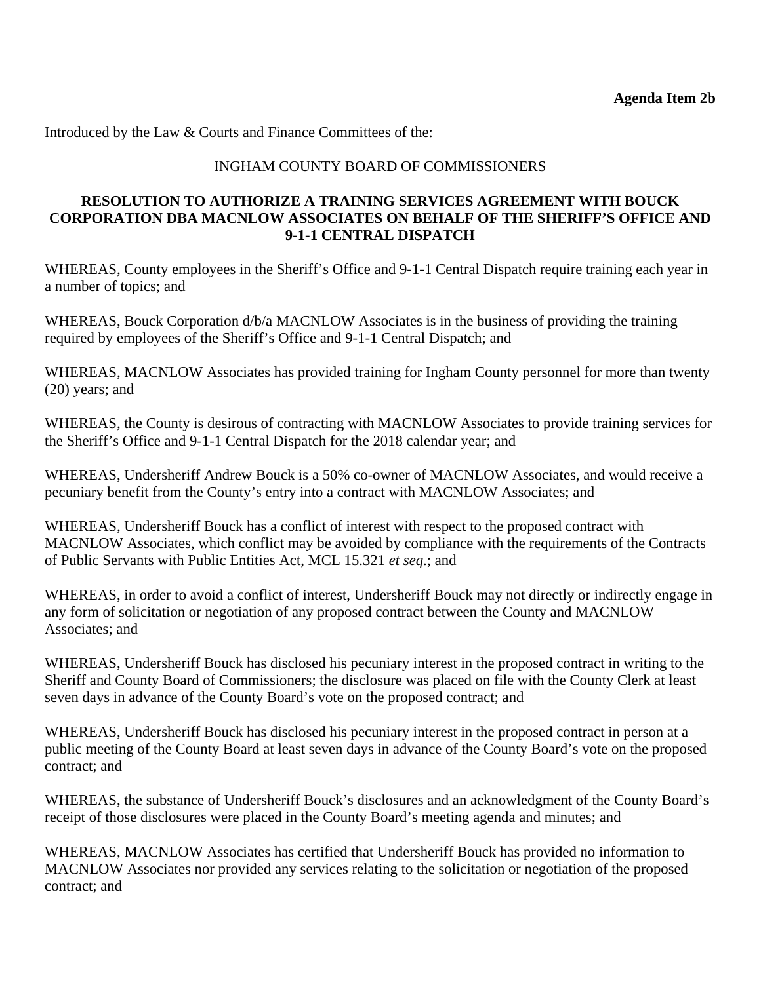Introduced by the Law & Courts and Finance Committees of the:

## INGHAM COUNTY BOARD OF COMMISSIONERS

## **RESOLUTION TO AUTHORIZE A TRAINING SERVICES AGREEMENT WITH BOUCK CORPORATION DBA MACNLOW ASSOCIATES ON BEHALF OF THE SHERIFF'S OFFICE AND 9-1-1 CENTRAL DISPATCH**

WHEREAS, County employees in the Sheriff's Office and 9-1-1 Central Dispatch require training each year in a number of topics; and

WHEREAS, Bouck Corporation d/b/a MACNLOW Associates is in the business of providing the training required by employees of the Sheriff's Office and 9-1-1 Central Dispatch; and

WHEREAS, MACNLOW Associates has provided training for Ingham County personnel for more than twenty (20) years; and

WHEREAS, the County is desirous of contracting with MACNLOW Associates to provide training services for the Sheriff's Office and 9-1-1 Central Dispatch for the 2018 calendar year; and

WHEREAS, Undersheriff Andrew Bouck is a 50% co-owner of MACNLOW Associates, and would receive a pecuniary benefit from the County's entry into a contract with MACNLOW Associates; and

WHEREAS, Undersheriff Bouck has a conflict of interest with respect to the proposed contract with MACNLOW Associates, which conflict may be avoided by compliance with the requirements of the Contracts of Public Servants with Public Entities Act, MCL 15.321 *et seq*.; and

WHEREAS, in order to avoid a conflict of interest, Undersheriff Bouck may not directly or indirectly engage in any form of solicitation or negotiation of any proposed contract between the County and MACNLOW Associates; and

WHEREAS, Undersheriff Bouck has disclosed his pecuniary interest in the proposed contract in writing to the Sheriff and County Board of Commissioners; the disclosure was placed on file with the County Clerk at least seven days in advance of the County Board's vote on the proposed contract; and

WHEREAS, Undersheriff Bouck has disclosed his pecuniary interest in the proposed contract in person at a public meeting of the County Board at least seven days in advance of the County Board's vote on the proposed contract; and

WHEREAS, the substance of Undersheriff Bouck's disclosures and an acknowledgment of the County Board's receipt of those disclosures were placed in the County Board's meeting agenda and minutes; and

WHEREAS, MACNLOW Associates has certified that Undersheriff Bouck has provided no information to MACNLOW Associates nor provided any services relating to the solicitation or negotiation of the proposed contract; and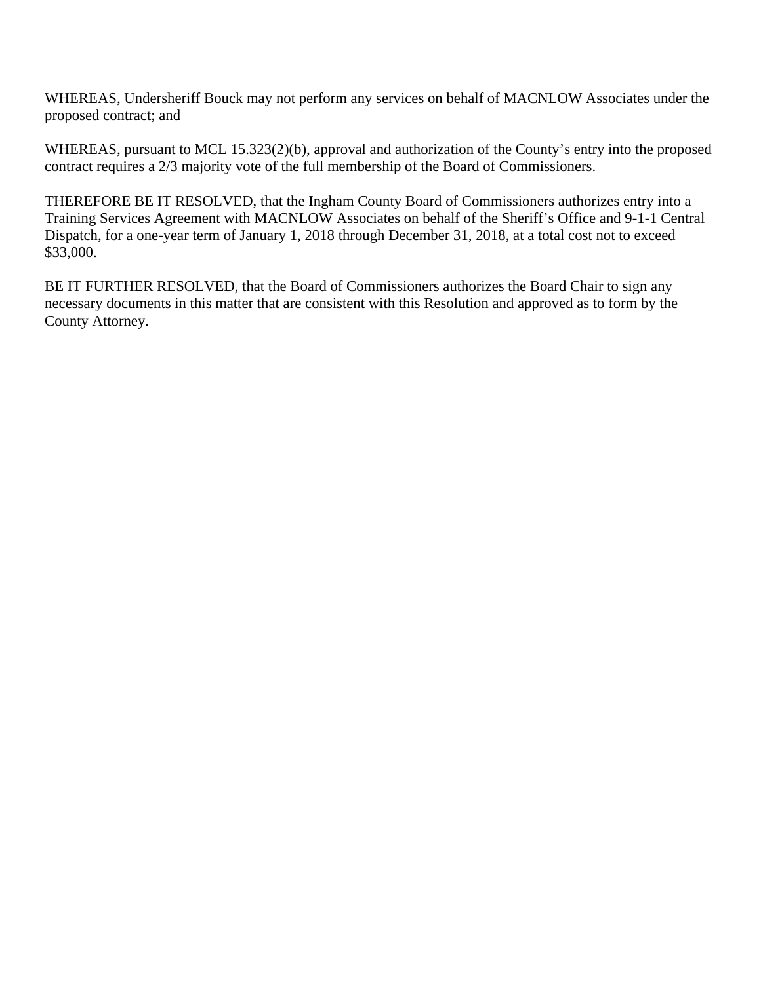WHEREAS, Undersheriff Bouck may not perform any services on behalf of MACNLOW Associates under the proposed contract; and

WHEREAS, pursuant to MCL 15.323(2)(b), approval and authorization of the County's entry into the proposed contract requires a 2/3 majority vote of the full membership of the Board of Commissioners.

THEREFORE BE IT RESOLVED, that the Ingham County Board of Commissioners authorizes entry into a Training Services Agreement with MACNLOW Associates on behalf of the Sheriff's Office and 9-1-1 Central Dispatch, for a one-year term of January 1, 2018 through December 31, 2018, at a total cost not to exceed \$33,000.

BE IT FURTHER RESOLVED, that the Board of Commissioners authorizes the Board Chair to sign any necessary documents in this matter that are consistent with this Resolution and approved as to form by the County Attorney.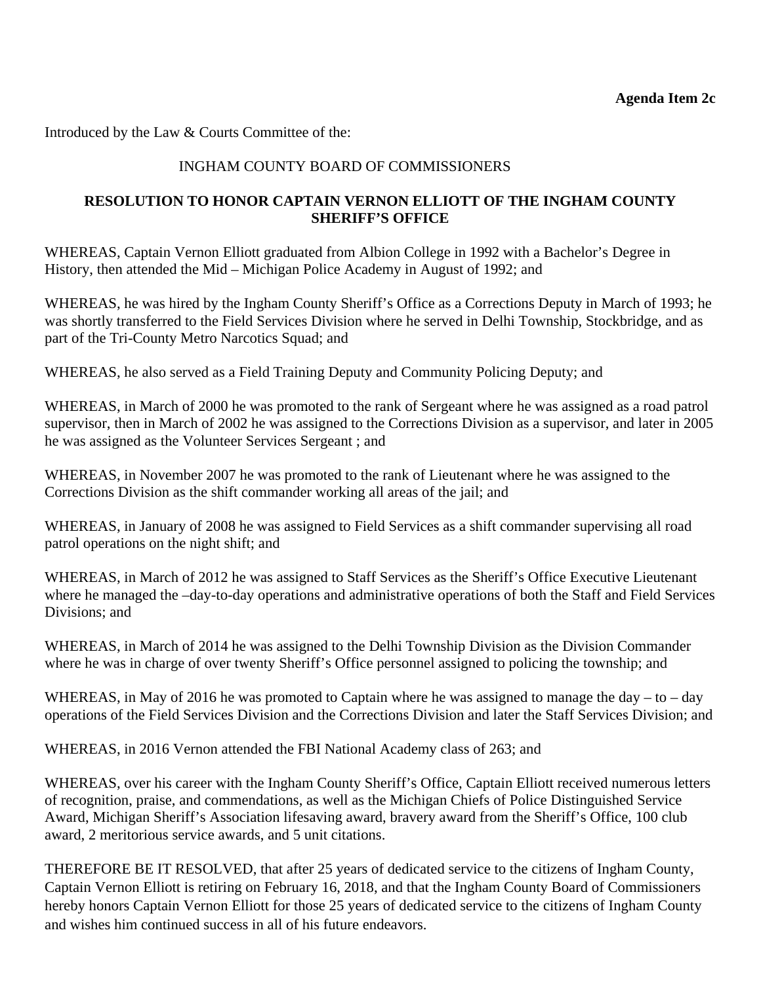<span id="page-22-0"></span>Introduced by the Law & Courts Committee of the:

## INGHAM COUNTY BOARD OF COMMISSIONERS

## **RESOLUTION TO HONOR CAPTAIN VERNON ELLIOTT OF THE INGHAM COUNTY SHERIFF'S OFFICE**

WHEREAS, Captain Vernon Elliott graduated from Albion College in 1992 with a Bachelor's Degree in History, then attended the Mid – Michigan Police Academy in August of 1992; and

WHEREAS, he was hired by the Ingham County Sheriff's Office as a Corrections Deputy in March of 1993; he was shortly transferred to the Field Services Division where he served in Delhi Township, Stockbridge, and as part of the Tri-County Metro Narcotics Squad; and

WHEREAS, he also served as a Field Training Deputy and Community Policing Deputy; and

WHEREAS, in March of 2000 he was promoted to the rank of Sergeant where he was assigned as a road patrol supervisor, then in March of 2002 he was assigned to the Corrections Division as a supervisor, and later in 2005 he was assigned as the Volunteer Services Sergeant ; and

WHEREAS, in November 2007 he was promoted to the rank of Lieutenant where he was assigned to the Corrections Division as the shift commander working all areas of the jail; and

WHEREAS, in January of 2008 he was assigned to Field Services as a shift commander supervising all road patrol operations on the night shift; and

WHEREAS, in March of 2012 he was assigned to Staff Services as the Sheriff's Office Executive Lieutenant where he managed the –day-to-day operations and administrative operations of both the Staff and Field Services Divisions; and

WHEREAS, in March of 2014 he was assigned to the Delhi Township Division as the Division Commander where he was in charge of over twenty Sheriff's Office personnel assigned to policing the township; and

WHEREAS, in May of 2016 he was promoted to Captain where he was assigned to manage the day – to – day operations of the Field Services Division and the Corrections Division and later the Staff Services Division; and

WHEREAS, in 2016 Vernon attended the FBI National Academy class of 263; and

WHEREAS, over his career with the Ingham County Sheriff's Office, Captain Elliott received numerous letters of recognition, praise, and commendations, as well as the Michigan Chiefs of Police Distinguished Service Award, Michigan Sheriff's Association lifesaving award, bravery award from the Sheriff's Office, 100 club award, 2 meritorious service awards, and 5 unit citations.

THEREFORE BE IT RESOLVED, that after 25 years of dedicated service to the citizens of Ingham County, Captain Vernon Elliott is retiring on February 16, 2018, and that the Ingham County Board of Commissioners hereby honors Captain Vernon Elliott for those 25 years of dedicated service to the citizens of Ingham County and wishes him continued success in all of his future endeavors.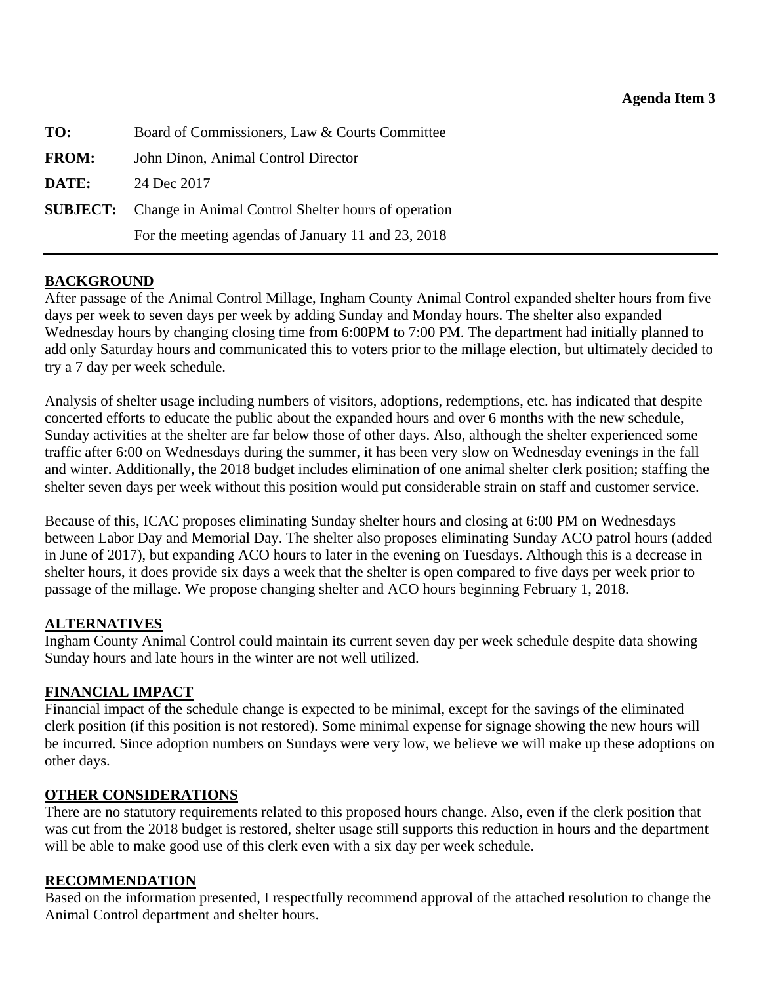<span id="page-23-0"></span>

| TO:          | Board of Commissioners, Law & Courts Committee                      |  |
|--------------|---------------------------------------------------------------------|--|
| <b>FROM:</b> | John Dinon, Animal Control Director                                 |  |
| DATE:        | 24 Dec 2017                                                         |  |
|              | <b>SUBJECT:</b> Change in Animal Control Shelter hours of operation |  |
|              | For the meeting agendas of January 11 and 23, 2018                  |  |

## **BACKGROUND**

After passage of the Animal Control Millage, Ingham County Animal Control expanded shelter hours from five days per week to seven days per week by adding Sunday and Monday hours. The shelter also expanded Wednesday hours by changing closing time from 6:00PM to 7:00 PM. The department had initially planned to add only Saturday hours and communicated this to voters prior to the millage election, but ultimately decided to try a 7 day per week schedule.

Analysis of shelter usage including numbers of visitors, adoptions, redemptions, etc. has indicated that despite concerted efforts to educate the public about the expanded hours and over 6 months with the new schedule, Sunday activities at the shelter are far below those of other days. Also, although the shelter experienced some traffic after 6:00 on Wednesdays during the summer, it has been very slow on Wednesday evenings in the fall and winter. Additionally, the 2018 budget includes elimination of one animal shelter clerk position; staffing the shelter seven days per week without this position would put considerable strain on staff and customer service.

Because of this, ICAC proposes eliminating Sunday shelter hours and closing at 6:00 PM on Wednesdays between Labor Day and Memorial Day. The shelter also proposes eliminating Sunday ACO patrol hours (added in June of 2017), but expanding ACO hours to later in the evening on Tuesdays. Although this is a decrease in shelter hours, it does provide six days a week that the shelter is open compared to five days per week prior to passage of the millage. We propose changing shelter and ACO hours beginning February 1, 2018.

## **ALTERNATIVES**

Ingham County Animal Control could maintain its current seven day per week schedule despite data showing Sunday hours and late hours in the winter are not well utilized.

## **FINANCIAL IMPACT**

Financial impact of the schedule change is expected to be minimal, except for the savings of the eliminated clerk position (if this position is not restored). Some minimal expense for signage showing the new hours will be incurred. Since adoption numbers on Sundays were very low, we believe we will make up these adoptions on other days.

## **OTHER CONSIDERATIONS**

There are no statutory requirements related to this proposed hours change. Also, even if the clerk position that was cut from the 2018 budget is restored, shelter usage still supports this reduction in hours and the department will be able to make good use of this clerk even with a six day per week schedule.

## **RECOMMENDATION**

Based on the information presented, I respectfully recommend approval of the attached resolution to change the Animal Control department and shelter hours.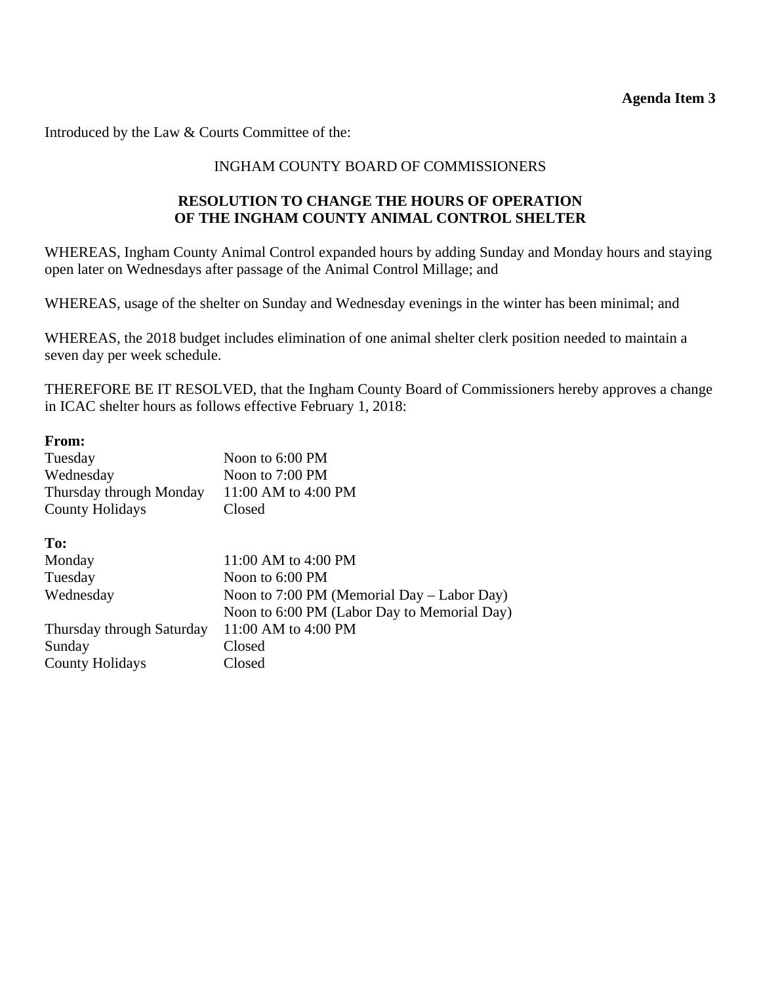**Agenda Item 3** 

Introduced by the Law & Courts Committee of the:

## INGHAM COUNTY BOARD OF COMMISSIONERS

## **RESOLUTION TO CHANGE THE HOURS OF OPERATION OF THE INGHAM COUNTY ANIMAL CONTROL SHELTER**

WHEREAS, Ingham County Animal Control expanded hours by adding Sunday and Monday hours and staying open later on Wednesdays after passage of the Animal Control Millage; and

WHEREAS, usage of the shelter on Sunday and Wednesday evenings in the winter has been minimal; and

WHEREAS, the 2018 budget includes elimination of one animal shelter clerk position needed to maintain a seven day per week schedule.

THEREFORE BE IT RESOLVED, that the Ingham County Board of Commissioners hereby approves a change in ICAC shelter hours as follows effective February 1, 2018:

#### **From:**

| Tuesday<br>Wednesday<br>Thursday through Monday<br><b>County Holidays</b> | Noon to 6:00 PM<br>Noon to 7:00 PM<br>11:00 AM to 4:00 PM<br>Closed |
|---------------------------------------------------------------------------|---------------------------------------------------------------------|
|                                                                           |                                                                     |
| To:                                                                       |                                                                     |
| Monday                                                                    | $11:00$ AM to $4:00$ PM                                             |
| Tuesday                                                                   | Noon to $6:00$ PM                                                   |
| Wednesday                                                                 | Noon to 7:00 PM (Memorial Day – Labor Day)                          |
|                                                                           | Noon to 6:00 PM (Labor Day to Memorial Day)                         |
| Thursday through Saturday                                                 | 11:00 AM to 4:00 PM                                                 |
| Sunday                                                                    | Closed                                                              |
| <b>County Holidays</b>                                                    | Closed                                                              |